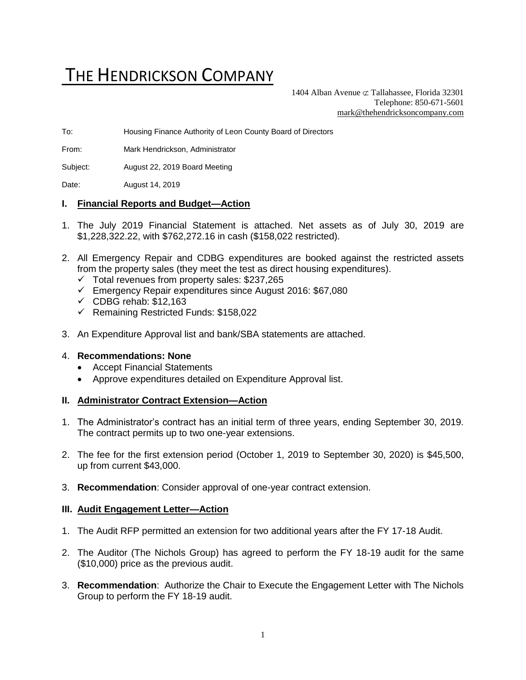# THE HENDRICKSON COMPANY

1404 Alban Avenue  $\sigma$  Tallahassee, Florida 32301 Telephone: 850-671-5601 [mark@thehendricksoncompany.com](mailto:mark@thehendricksoncompany.com)

To: Housing Finance Authority of Leon County Board of Directors

From: Mark Hendrickson, Administrator

Subject: August 22, 2019 Board Meeting

Date: August 14, 2019

#### **I. Financial Reports and Budget—Action**

- 1. The July 2019 Financial Statement is attached. Net assets as of July 30, 2019 are \$1,228,322.22, with \$762,272.16 in cash (\$158,022 restricted).
- 2. All Emergency Repair and CDBG expenditures are booked against the restricted assets from the property sales (they meet the test as direct housing expenditures).
	- $\checkmark$  Total revenues from property sales: \$237,265
	- ✓ Emergency Repair expenditures since August 2016: \$67,080
	- $\checkmark$  CDBG rehab: \$12,163
	- ✓ Remaining Restricted Funds: \$158,022
- 3. An Expenditure Approval list and bank/SBA statements are attached.

#### 4. **Recommendations: None**

- Accept Financial Statements
- Approve expenditures detailed on Expenditure Approval list.

### **II. Administrator Contract Extension—Action**

- 1. The Administrator's contract has an initial term of three years, ending September 30, 2019. The contract permits up to two one-year extensions.
- 2. The fee for the first extension period (October 1, 2019 to September 30, 2020) is \$45,500, up from current \$43,000.
- 3. **Recommendation**: Consider approval of one-year contract extension.

#### **III. Audit Engagement Letter—Action**

- 1. The Audit RFP permitted an extension for two additional years after the FY 17-18 Audit.
- 2. The Auditor (The Nichols Group) has agreed to perform the FY 18-19 audit for the same (\$10,000) price as the previous audit.
- 3. **Recommendation**: Authorize the Chair to Execute the Engagement Letter with The Nichols Group to perform the FY 18-19 audit.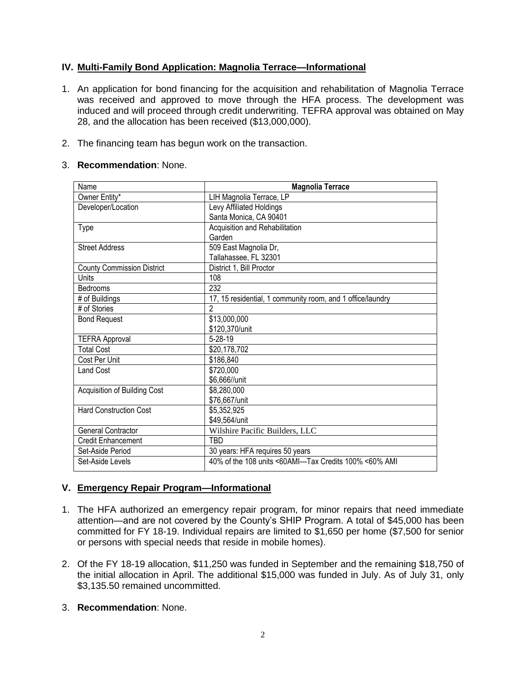# **IV. Multi-Family Bond Application: Magnolia Terrace—Informational**

- 1. An application for bond financing for the acquisition and rehabilitation of Magnolia Terrace was received and approved to move through the HFA process. The development was induced and will proceed through credit underwriting. TEFRA approval was obtained on May 28, and the allocation has been received (\$13,000,000).
- 2. The financing team has begun work on the transaction.

## 3. **Recommendation**: None.

| Name                              | <b>Magnolia Terrace</b>                                    |  |  |  |  |
|-----------------------------------|------------------------------------------------------------|--|--|--|--|
| Owner Entity*                     | LIH Magnolia Terrace, LP                                   |  |  |  |  |
| Developer/Location                | Levy Affiliated Holdings                                   |  |  |  |  |
|                                   | Santa Monica, CA 90401                                     |  |  |  |  |
| <b>Type</b>                       | Acquisition and Rehabilitation                             |  |  |  |  |
|                                   | Garden                                                     |  |  |  |  |
| <b>Street Address</b>             | 509 East Magnolia Dr,                                      |  |  |  |  |
|                                   | Tallahassee, FL 32301                                      |  |  |  |  |
| <b>County Commission District</b> | District 1, Bill Proctor                                   |  |  |  |  |
| Units                             | 108                                                        |  |  |  |  |
| Bedrooms                          | 232                                                        |  |  |  |  |
| # of Buildings                    | 17, 15 residential, 1 community room, and 1 office/laundry |  |  |  |  |
| # of Stories                      | $\mathfrak{p}$                                             |  |  |  |  |
| <b>Bond Request</b>               | \$13,000,000                                               |  |  |  |  |
|                                   | \$120,370/unit                                             |  |  |  |  |
| <b>TEFRA Approval</b>             | $5 - 28 - 19$                                              |  |  |  |  |
| <b>Total Cost</b>                 | \$20,178,702                                               |  |  |  |  |
| Cost Per Unit                     | \$186,840                                                  |  |  |  |  |
| <b>Land Cost</b>                  | \$720,000                                                  |  |  |  |  |
|                                   | \$6,666//unit                                              |  |  |  |  |
| Acquisition of Building Cost      | \$8,280,000                                                |  |  |  |  |
|                                   | \$76,667/unit                                              |  |  |  |  |
| <b>Hard Construction Cost</b>     | \$5,352,925                                                |  |  |  |  |
|                                   | \$49,564/unit                                              |  |  |  |  |
| <b>General Contractor</b>         | Wilshire Pacific Builders, LLC                             |  |  |  |  |
| Credit Enhancement                | TBD                                                        |  |  |  |  |
| Set-Aside Period                  | 30 years: HFA requires 50 years                            |  |  |  |  |
| Set-Aside Levels                  | 40% of the 108 units <60AMI—Tax Credits 100% <60% AMI      |  |  |  |  |

# **V. Emergency Repair Program—Informational**

- 1. The HFA authorized an emergency repair program, for minor repairs that need immediate attention—and are not covered by the County's SHIP Program. A total of \$45,000 has been committed for FY 18-19. Individual repairs are limited to \$1,650 per home (\$7,500 for senior or persons with special needs that reside in mobile homes).
- 2. Of the FY 18-19 allocation, \$11,250 was funded in September and the remaining \$18,750 of the initial allocation in April. The additional \$15,000 was funded in July. As of July 31, only \$3,135.50 remained uncommitted.
- 3. **Recommendation**: None.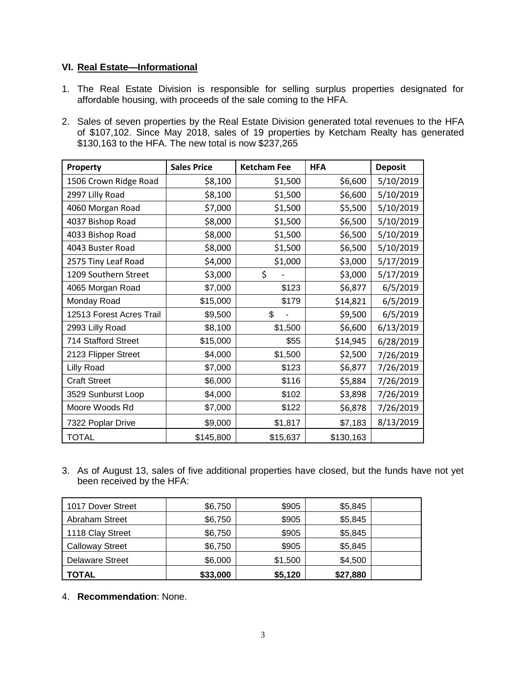# **VI. Real Estate—Informational**

- 1. The Real Estate Division is responsible for selling surplus properties designated for affordable housing, with proceeds of the sale coming to the HFA.
- 2. Sales of seven properties by the Real Estate Division generated total revenues to the HFA of \$107,102. Since May 2018, sales of 19 properties by Ketcham Realty has generated \$130,163 to the HFA. The new total is now \$237,265

| Property                 | <b>Sales Price</b> | <b>Ketcham Fee</b> | <b>HFA</b> | <b>Deposit</b> |
|--------------------------|--------------------|--------------------|------------|----------------|
| 1506 Crown Ridge Road    | \$8,100            | \$1,500            | \$6,600    | 5/10/2019      |
| 2997 Lilly Road          | \$8,100            | \$1,500            | \$6,600    | 5/10/2019      |
| 4060 Morgan Road         | \$7,000            | \$1,500            | \$5,500    | 5/10/2019      |
| 4037 Bishop Road         | \$8,000            | \$1,500            | \$6,500    | 5/10/2019      |
| 4033 Bishop Road         | \$8,000            | \$1,500            | \$6,500    | 5/10/2019      |
| 4043 Buster Road         | \$8,000            | \$1,500            | \$6,500    | 5/10/2019      |
| 2575 Tiny Leaf Road      | \$4,000            | \$1,000            | \$3,000    | 5/17/2019      |
| 1209 Southern Street     | \$3,000            | \$                 | \$3,000    | 5/17/2019      |
| 4065 Morgan Road         | \$7,000            | \$123              | \$6,877    | 6/5/2019       |
| Monday Road              | \$15,000           | \$179              | \$14,821   | 6/5/2019       |
| 12513 Forest Acres Trail | \$9,500            | \$                 | \$9,500    | 6/5/2019       |
| 2993 Lilly Road          | \$8,100            | \$1,500            | \$6,600    | 6/13/2019      |
| 714 Stafford Street      | \$15,000           | \$55               | \$14,945   | 6/28/2019      |
| 2123 Flipper Street      | \$4,000            | \$1,500            | \$2,500    | 7/26/2019      |
| <b>Lilly Road</b>        | \$7,000            | \$123              | \$6,877    | 7/26/2019      |
| <b>Craft Street</b>      | \$6,000            | \$116              | \$5,884    | 7/26/2019      |
| 3529 Sunburst Loop       | \$4,000            | \$102              | \$3,898    | 7/26/2019      |
| Moore Woods Rd           | \$7,000            | \$122              | \$6,878    | 7/26/2019      |
| 7322 Poplar Drive        | \$9,000            | \$1,817            | \$7,183    | 8/13/2019      |
| <b>TOTAL</b>             | \$145,800          | \$15,637           | \$130,163  |                |

3. As of August 13, sales of five additional properties have closed, but the funds have not yet been received by the HFA:

| 1017 Dover Street      | \$6,750  | \$905   | \$5,845  |  |
|------------------------|----------|---------|----------|--|
| Abraham Street         | \$6,750  | \$905   | \$5,845  |  |
| 1118 Clay Street       | \$6,750  | \$905   | \$5,845  |  |
| <b>Calloway Street</b> | \$6,750  | \$905   | \$5,845  |  |
| <b>Delaware Street</b> | \$6,000  | \$1,500 | \$4,500  |  |
| <b>TOTAL</b>           | \$33,000 | \$5,120 | \$27,880 |  |

4. **Recommendation**: None.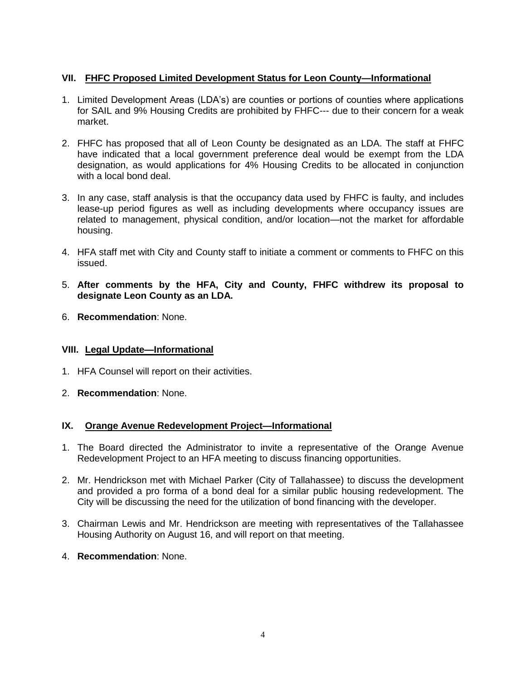# **VII. FHFC Proposed Limited Development Status for Leon County—Informational**

- 1. Limited Development Areas (LDA's) are counties or portions of counties where applications for SAIL and 9% Housing Credits are prohibited by FHFC--- due to their concern for a weak market.
- 2. FHFC has proposed that all of Leon County be designated as an LDA. The staff at FHFC have indicated that a local government preference deal would be exempt from the LDA designation, as would applications for 4% Housing Credits to be allocated in conjunction with a local bond deal.
- 3. In any case, staff analysis is that the occupancy data used by FHFC is faulty, and includes lease-up period figures as well as including developments where occupancy issues are related to management, physical condition, and/or location—not the market for affordable housing.
- 4. HFA staff met with City and County staff to initiate a comment or comments to FHFC on this issued.
- 5. **After comments by the HFA, City and County, FHFC withdrew its proposal to designate Leon County as an LDA.**
- 6. **Recommendation**: None.

# **VIII. Legal Update—Informational**

- 1. HFA Counsel will report on their activities.
- 2. **Recommendation**: None.

# **IX. Orange Avenue Redevelopment Project—Informational**

- 1. The Board directed the Administrator to invite a representative of the Orange Avenue Redevelopment Project to an HFA meeting to discuss financing opportunities.
- 2. Mr. Hendrickson met with Michael Parker (City of Tallahassee) to discuss the development and provided a pro forma of a bond deal for a similar public housing redevelopment. The City will be discussing the need for the utilization of bond financing with the developer.
- 3. Chairman Lewis and Mr. Hendrickson are meeting with representatives of the Tallahassee Housing Authority on August 16, and will report on that meeting.
- 4. **Recommendation**: None.